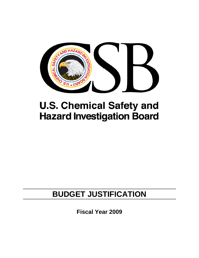

# **U.S. Chemical Safety and Hazard Investigation Board**

# **BUDGET JUSTIFICATION**

**Fiscal Year 2009**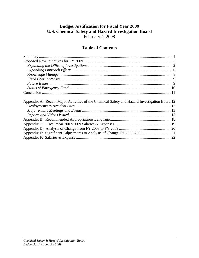# **Budget Justification for Fiscal Year 2009 U.S. Chemical Safety and Hazard Investigation Board**

February 4, 2008

# **Table of Contents**

| Appendix A: Recent Major Activities of the Chemical Safety and Hazard Investigation Board 12 |
|----------------------------------------------------------------------------------------------|
|                                                                                              |
|                                                                                              |
|                                                                                              |
|                                                                                              |
|                                                                                              |
|                                                                                              |
|                                                                                              |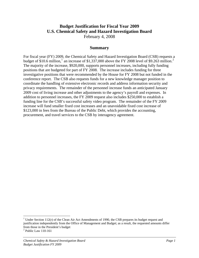# <span id="page-2-0"></span>**Budget Justification for Fiscal Year 2009 U.S. Chemical Safety and Hazard Investigation Board**

February 4, 2008

#### **Summary**

For fiscal year (FY) 2009, the Chemical Safety and Hazard Investigation Board (CSB) requests a budget of \$[1](#page-2-1)0.6 million,<sup>1</sup> an increase of \$1,337,000 above the FY [2](#page-2-2)008 level of \$9.263 million.<sup>2</sup> The majority of the increase, \$920,000, supports personnel increases, including fully funding positions that are budgeted for part of FY 2008. The increase includes funding for three investigative positions that were recommended by the House for FY 2008 but not funded in the conference report. The CSB also requests funds for a new knowledge manager position to coordinate the handling of extensive electronic records and address information security and privacy requirements. The remainder of the personnel increase funds an anticipated January 2009 cost of living increase and other adjustments to the agency's payroll and expenses. In addition to personnel increases, the FY 2009 request also includes \$250,000 to establish a funding line for the CSB's successful safety video program. The remainder of the FY 2009 increase will fund smaller fixed cost increases and an unavoidable fixed cost increase of \$123,000 in fees from the Bureau of the Public Debt, which provides the accounting, procurement, and travel services to the CSB by interagency agreement.

1

<span id="page-2-1"></span><sup>&</sup>lt;sup>1</sup> Under Section 112(r) of the Clean Air Act Amendments of 1990, the CSB prepares its budget request and justification independently from the Office of Management and Budget; as a result, the requested amounts differ from those in the President's budget

<span id="page-2-2"></span><sup>&</sup>lt;sup>2</sup> Public Law 110-161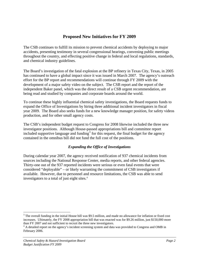# **Proposed New Initiatives for FY 2009**

<span id="page-3-0"></span>The CSB continues to fulfill its mission to prevent chemical accidents by deploying to major accidents, presenting testimony in several congressional hearings, convening public meetings throughout the country, and effecting positive change in federal and local regulations, standards, and chemical industry guidelines.

The Board's investigation of the fatal explosion at the BP refinery in Texas City, Texas, in 2005 has continued to have a global impact since it was issued in March 2007. The agency's outreach effort for the BP report and recommendations will continue through FY 2009 with the development of a major safety video on the subject. The CSB report and the report of the independent Baker panel, which was the direct result of a CSB urgent recommendation, are being read and studied by companies and corporate boards around the world.

To continue these highly influential chemical safety investigations, the Board requests funds to expand the Office of Investigations by hiring three additional incident investigators in fiscal year 2009. The Board also seeks funds for a new knowledge manager position, for safety videos production, and for other small agency costs.

The CSB's independent budget request to Congress for 2008 likewise included the three new investigator positions. Although House-passed appropriations bill and committee report included supportive language and funding<sup>[3](#page-3-1)</sup> for this request, the final budget for the agency contained in the omnibus bill did not fund the full cost of the positions.

#### *Expanding the Office of Investigations*

During calendar year 2007, the agency received notification of 937 chemical incidents from sources including the National Response Center, media reports, and other federal agencies. Thirty-one out of the 937 reported incidents were serious or even fatal events that were considered "deployable" – or likely warranting the commitment of CSB investigators if available. However, due to personnel and resource limitations, the CSB was able to send investigators to a total of just eight sites.<sup>4</sup>

 $\overline{a}$ 

<span id="page-3-1"></span> $3$  The overall funding in the initial House bill was \$9.5 million, and made no allowance for inflation or fixed cost increases. Ultimately, the FY 2008 appropriation bill that was enacted was for \$9.26 million, just \$150,000 more than FY 2007 and not sufficient to recruit the three new investigators.

<span id="page-3-2"></span><sup>&</sup>lt;sup>4</sup> A detailed report on the agency's incident screening system and data was provided to Congress and OMB in February 2006.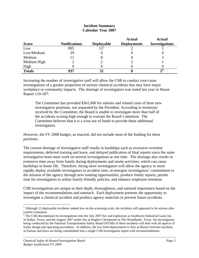| <b>Score</b>  | <b>Notifications</b> | <b>Deployable</b> | <b>Actual</b><br><b>Deployments</b> | <b>Actual</b><br><b>Investigations</b> |
|---------------|----------------------|-------------------|-------------------------------------|----------------------------------------|
| Low           | 895                  |                   |                                     |                                        |
| Low/Medium    | 29                   |                   |                                     |                                        |
| Medium        | 11                   | Ω                 |                                     |                                        |
| Medium High   |                      |                   |                                     |                                        |
| High          |                      |                   |                                     |                                        |
| <b>Totals</b> | 937                  | 31                |                                     |                                        |

#### **Incident Summary Calendar Year 2007**

Increasing the number of investigative staff will allow the CSB to conduct root-cause investigations of a greater proportion of serious chemical accidents that may have major workplace or community impacts. The shortage of investigators was noted last year in House Report 110-187:

The Committee has provided \$361,000 for salaries and related costs of three new investigative positions, not requested by the President. According to testimony received by the Committee, the Board is unable to investigate more than half of the accidents scoring high enough to warrant the Board's attention. The Committee believes that it is a wise use of funds to provide these additional investigators.

However, the FY 2008 budget, as enacted, did not include most of the funding for these positions.

The current shortage of investigative staff results in hardships such as excessive overtime requirements, deferred training and leave, and delayed publication of final reports since the same investigative team must work on several investigations at one time. The shortage also results in extensive time away from family during deployments and onsite activities, which can cause hardships in home life. Therefore, hiring more investigators will allow the agency to more rapidly deploy available investigators to accident sites, re-energize investigators' commitment to the mission of the agency through new training opportunities, produce timely reports, permit time for investigators to utilize family-friendly policies, and enhance employee retention.

CSB investigations are unique in their depth, thoroughness, and national importance based on the impact of the recommendations and outreach. Each deployment presents the opportunity to investigate a chemical accident and produce agency materials to prevent future accidents.

 $\overline{a}$ 

<span id="page-4-0"></span> $<sup>5</sup>$  Although 13 deployable incidents ranked low on the screening scale, the incidents still appeared to be serious after</sup> careful evaluation.

<span id="page-4-1"></span><sup>&</sup>lt;sup>6</sup> The CSB discontinued its investigations into the July 2007 fire and explosions at Southwest Industrial Gases Inc. in Dallas, Texas, and the August 2007 trailer fire at Hughes Christensen in The Woodlands, Texas. An investigation being conducted by the National Transportation Safety Board (NTSB) of these incidents will deal with all aspects of trailer design and operating procedures. In addition, the two field deployments to fires at Barton Solvents facilities in Kansas and Iowa are being consolidated into a single CSB investigation report with recommendations.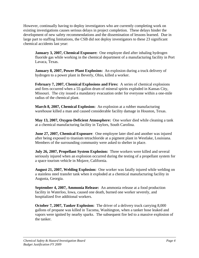However, continually having to deploy investigators who are currently completing work on existing investigations causes serious delays in project completion. These delays hinder the development of new safety recommendations and the dissemination of lessons learned. Due in large part to staffing limitations, the CSB did not deploy investigators to these 23 significant chemical accidents last year:

**January 3, 2007, Chemical Exposure:** One employee died after inhaling hydrogen fluoride gas while working in the chemical department of a manufacturing facility in Port Lavaca, Texas.

**January 8, 2007, Power Plant Explosion:** An explosion during a truck delivery of hydrogen to a power plant in Beverly, Ohio, killed a worker.

**February 7, 2007, Chemical Explosions and Fires:** A series of chemical explosions and fires occurred when a 55-gallon drum of mineral spirits exploded in Kansas City, Missouri. The city issued a mandatory evacuation order for everyone within a one-mile radius of the chemical plant.

**March 8, 2007, Chemical Explosion:** An explosion at a rubber manufacturing warehouse killed a man and caused considerable facility damage in Houston, Texas.

**May 13, 2007, Oxygen-Deficient Atmosphere:** One worker died while cleaning a tank at a chemical manufacturing facility in Taylors, South Carolina.

**June 27, 2007, Chemical Exposure**: One employee later died and another was injured after being exposed to titanium tetrachloride at a pigment plant in Westlake, Louisiana. Members of the surrounding community were asked to shelter in place.

**July 26, 2007, Propellant System Explosion:** Three workers were killed and several seriously injured when an explosion occurred during the testing of a propellant system for a space tourism vehicle in Mojave, California.

**August 21, 2007, Welding Explosion:** One worker was fatally injured while welding on a stainless steel transfer tank when it exploded at a chemical manufacturing facility in Augusta, Georgia.

**September 4, 2007, Ammonia Release:** An ammonia release at a food production facility in Waterloo, Iowa, caused one death, burned one worker severely, and hospitalized five additional workers.

**October 7, 2007, Tanker Explosion:** The driver of a delivery truck carrying 8,000 gallons of propane was killed in Tacoma, Washington, when a tanker hose leaked and vapors were ignited by nearby sparks. The subsequent fire led to a massive explosion of the tanker.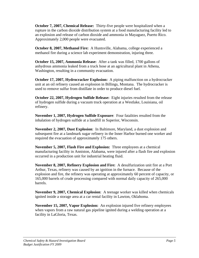**October 7, 2007, Chemical Release:** Thirty-five people were hospitalized when a rupture in the carbon dioxide distribution system at a food manufacturing facility led to an explosion and release of carbon dioxide and ammonia in Mayaguez, Puerto Rico. Approximately 2,000 people were evacuated.

**October 8, 2007, Methanol Fire:** A Huntsville, Alabama, college experienced a methanol fire during a science lab experiment demonstration, injuring three.

**October 15, 2007, Ammonia Release:** After a tank was filled, 1700 gallons of anhydrous ammonia leaked from a truck hose at an agricultural plant in Athena, Washington, resulting in a community evacuation.

**October 17, 2007, Hydrocracker Explosion:** A piping malfunction on a hydrocracker unit at an oil refinery caused an explosion in Billings, Montana. The hydrocracker is used to remove sulfur from distillate in order to produce diesel fuel.

**October 22, 2007, Hydrogen Sulfide Release:** Eight injuries resulted from the release of hydrogen sulfide during a vacuum truck operation at a Westlake, Louisiana, oil refinery.

**November 1, 2007, Hydrogen Sulfide Exposure**: Four fatalities resulted from the inhalation of hydrogen sulfide at a landfill in Superior, Wisconsin.

**November 2, 2007, Dust Explosion**: In Baltimore, Maryland, a dust explosion and subsequent fire at a landmark sugar refinery in the Inner Harbor burned one worker and required the evacuation of approximately 175 others.

**November 5, 2007, Flash Fire and Explosion:** Three employees at a chemical manufacturing facility in Anniston, Alabama, were injured after a flash fire and explosion occurred in a production unit for industrial heating fluid.

**November 8, 2007, Refinery Explosion and Fire:** A desulfurization unit fire at a Port Arthur, Texas, refinery was caused by an ignition in the furnace. Because of the explosion and fire, the refinery was operating at approximately 60 percent of capacity, or 165,000 barrels of crude processing compared with normal daily capacity of 265,000 barrels.

**November 9, 2007, Chemical Explosion**: A teenage worker was killed when chemicals ignited inside a storage area at a car rental facility in Lawton, Oklahoma.

**November 15, 2007, Vapor Explosion:** An explosion injured five refinery employees when vapors from a raw natural gas pipeline ignited during a welding operation at a facility in LaGloria, Texas.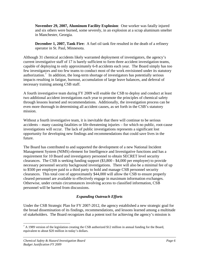<span id="page-7-0"></span>**November 29, 2007, Aluminum Facility Explosion**: One worker was fatally injured and six others were burned, some severely, in an explosion at a scrap aluminum smelter in Manchester, Georgia.

**December 1, 2007, Tank Fire:** A fuel oil tank fire resulted in the death of a refinery operator in St. Paul, Minnesota.

Although 31 chemical accidents likely warranted deployment of investigators, the agency's current investigative staff of 17 is barely sufficient to form three accident investigation teams, capable of deploying to only approximately 6-8 accidents each year. The Board simply has too few investigators and too few teams to conduct most of the work envisioned under its statutory authorization.<sup>[7](#page-7-1)</sup> In addition, the long-term shortage of investigators has potentially serious impacts resulting in fatigue, burnout, accumulation of large leave balances, and deferral of necessary training among CSB staff.

A fourth investigative team during FY 2009 will enable the CSB to deploy and conduct at least two additional accident investigations each year to promote the principles of chemical safety through lessons learned and recommendations. Additionally, the investigation process can be even more thorough in determining all accident causes, as set forth in the CSB's statutory mission.

Without a fourth investigative team, it is inevitable that there will continue to be serious accidents – many causing fatalities or life-threatening injuries – for which no public, root-cause investigations will occur. The lack of public investigations represents a significant lost opportunity for developing new findings and recommendations that could save lives in the future.

The Board has contributed to and supported the development of a new National Incident Management System (NIMS) element for Intelligence and Investigative functions and has a requirement for 10 Board and investigatory personnel to obtain SECRET level security clearances. The CSB is seeking funding support (\$3,800 - \$4,000 per employee) to provide necessary personnel security background investigations. There will also be a minimal fee of up to \$500 per employee paid to a third party to hold and manage CSB personnel security clearances. This total cost of approximately \$44,000 will allow the CSB to ensure properly cleared personnel are available to effectively engage in maximum information exchanges. Otherwise, under certain circumstances involving access to classified information, CSB personnel will be barred from discussions.

## *Expanding Outreach Efforts*

Under the CSB Strategic Plan for FY 2007-2012, the agency established a new strategic goal for the broad dissemination of its findings, recommendations, and lessons learned among a multitude of stakeholders. The Board recognizes that a potent tool for achieving the agency's mission is

<span id="page-7-1"></span> $\overline{a}$  $^7$  A 1989 version of the legislation creating the CSB authorized \$12 million in annual funding for the Board, equivalent to about \$20 million in today's dollars.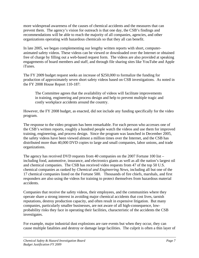more widespread awareness of the causes of chemical accidents and the measures that can prevent them. The agency's vision for outreach is that one day, the CSB's findings and recommendations will be able to reach the majority of all companies, agencies, and other organizations operating with hazardous chemicals so that they all can benefit.

In late 2005, we began complementing our lengthy written reports with short, computeranimated safety videos. These videos can be viewed or downloaded over the Internet or obtained free of charge by filling out a web-based request form. The videos are also provided at speaking engagements of board members and staff, and through file sharing sites like YouTube and Apple iTunes.

The FY 2009 budget request seeks an increase of \$250,000 to formalize the funding for production of approximately seven short safety videos based on CSB investigations. As noted in the FY 2008 House Report 110-187:

The Committee agrees that the availability of videos will facilitate improvements in training, engineering and process design and help to prevent multiple tragic and costly workplace accidents around the country.

However, the FY 2008 budget, as enacted, did not include any funding specifically for the video program.

The response to the video program has been remarkable. For each person who accesses one of the CSB's written reports, roughly a hundred people watch the videos and use them for improved training, engineering, and process design. Since the program was launched in December 2005, the safety videos have been viewed almost a million times over the Internet, and the CSB has distributed more than 40,000 DVD copies to large and small companies, labor unions, and trade organizations.

The agency has received DVD requests from 40 companies on the 2007 Fortune 100 list – including food, automotive, insurance, and electronics giants as well as all the nation's largest oil and chemical companies. The CSB has received video requests from 47 of the top 50 U.S. chemical companies as ranked by *Chemical and Engineering News*, including all but one of the 17 chemical companies listed on the Fortune 500. Thousands of fire chiefs, marshals, and first responders are also using the videos for training to protect themselves from hazardous material accidents.

Companies that receive the safety videos, their employees, and the communities where they operate share a strong interest in avoiding major chemical accidents that cost lives, tarnish reputations, destroy production capacity, and often result in expensive litigation. But many companies, particularly smaller businesses, are not aware of all high-consequence, lowprobability risks they face in operating their facilities, characteristic of the accidents the CSB investigates.

For example, major industrial dust explosions are rare events but when they occur, they can cause multiple fatalities and destroy or damage large facilities. The culprit is often a thin layer of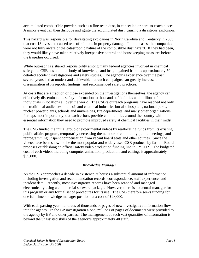<span id="page-9-0"></span>accumulated combustible powder, such as a fine resin dust, in concealed or hard-to-reach places. A minor event can then dislodge and ignite the accumulated dust, causing a disastrous explosion.

This hazard was responsible for devastating explosions in North Carolina and Kentucky in 2003 that cost 13 lives and caused tens of millions in property damage. In both cases, the companies were not fully aware of the catastrophic nature of the combustible dust hazard. If they had been, they would likely have taken relatively inexpensive control and housekeeping measures before the tragedies occurred.

While outreach is a shared responsibility among many federal agencies involved in chemical safety, the CSB has a unique body of knowledge and insight gained from its approximately 50 detailed accident investigations and safety studies. The agency's experience over the past several years is that modest and achievable outreach campaigns can greatly increase the dissemination of its reports, findings, and recommended safety practices.

At costs that are a fraction of those expended on the investigations themselves, the agency can effectively disseminate its safety information to thousands of facilities and millions of individuals in locations all over the world. The CSB's outreach programs have reached not only the traditional audiences in the oil and chemical industries but also hospitals, national parks, nuclear power plants, schools and universities, fire departments, and many other organizations. Perhaps most importantly, outreach efforts provide communities around the country with essential information they need to promote improved safety at chemical facilities in their midst.

The CSB funded the initial group of experimental videos by reallocating funds from its existing public affairs program, temporarily decreasing the number of community public meetings, and reprogramming unspent compensation from vacant board seats and other sources. Since the videos have been shown to be the most popular and widely used CSB products by far, the Board proposes establishing an official safety video production funding line in FY 2009. The budgeted cost of each video, including computer animation, production, and editing, is approximately \$35,000.

## *Knowledge Manager*

As the CSB approaches a decade in existence, it houses a substantial amount of information including investigation and recommendation records, correspondence, staff experience, and incident data. Recently, most investigative records have been scanned and managed electronically using a commercial software package. However, there is no central manager for this program or any formal set of procedures for its use. The CSB therefore seeks funding for one full-time knowledge manager position, at a cost of \$98,000.

With each passing year, hundreds of thousands of pages of new investigative information flow into the agency. In the BP investigation alone, millions of pages of documents were provided to the agency by BP and other parties. The management of such vast quantities of information is beyond the unassisted skills of the agency's approximately 40 staff.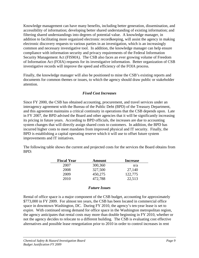<span id="page-10-0"></span>Knowledge management can have many benefits, including better generation, dissemination, and accessibility of information; developing better shared understanding of existing information; and filtering shared understandings into degrees of potential value. A knowledge manager, in addition to facilitating more organized electronic recordkeeping, will assist the agency in making electronic discovery requests to various parties in an investigation, which is an increasingly common and necessary investigative tool. In addition, the knowledge manager can help ensure compliance with information security and privacy requirements of the Federal Information Security Management Act (FISMA). The CSB also faces an ever growing volume of Freedom of Information Act (FOIA) requests for its investigative information. Better organization of CSB investigative records will improve the speed and efficiency of the FOIA process.

Finally, the knowledge manager will also be positioned to mine the CSB's existing reports and documents for common themes or issues, to which the agency should draw public or stakeholder attention.

#### *Fixed Cost Increases*

Since FY 2000, the CSB has obtained accounting, procurement, and travel services under an interagency agreement with the Bureau of the Public Debt (BPD) of the Treasury Department, and this agreement maintains a critical continuity in operations that the CSB depends upon. Late in FY 2007, the BPD advised the Board and other agencies that it will be significantly increasing its pricing in future years. According to BPD officials, the increases are due to accounting system changes that will directly assign shared costs to customers. In addition, the BPD has incurred higher costs to meet mandates from improved physical and IT security. Finally, the BPD is establishing a capital operating reserve which it will use to offset future system improvements and IT initiatives.

The following table shows the current and projected costs for the services the Board obtains from BPD:

| <b>Fiscal Year</b> | <b>Amount</b> | <b>Increase</b> |
|--------------------|---------------|-----------------|
| 2007               | 300,360       | n/a             |
| 2008               | 327,500       | 27,140          |
| 2009               | 450,275       | 122,775         |
| 2010               | 472,788       | 22,513          |

#### *Future Issues*

Rental of office space is a major component of the CSB budget, accounting for approximately \$773,000 in FY 2009. For almost ten years, the CSB has been located in commercial office space in downtown Washington, DC. During FY 2010, the agency's ten-year lease is set to expire. With continued strong demand for office space in the Washington metropolitan region, the agency anticipates that rental costs may more than double beginning in FY 2010, whether or not the agency decides to relocate to a different building. The CSB is evaluating cost effective alternatives and possible lease renegotiation prior to 2010 in order to control increases in rent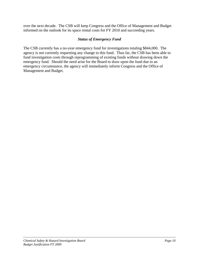<span id="page-11-0"></span>over the next decade. The CSB will keep Congress and the Office of Management and Budget informed on the outlook for its space rental costs for FY 2010 and succeeding years.

#### *Status of Emergency Fund*

The CSB currently has a no-year emergency fund for investigations totaling \$844,000. The agency is not currently requesting any change to this fund. Thus far, the CSB has been able to fund investigation costs through reprogramming of existing funds without drawing down the emergency fund. Should the need arise for the Board to draw upon the fund due to an emergency circumstance, the agency will immediately inform Congress and the Office of Management and Budget.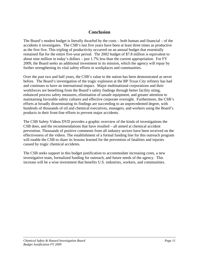# **Conclusion**

<span id="page-12-0"></span>The Board's modest budget is literally dwarfed by the costs – both human and financial – of the accidents it investigates. The CSB's last five years have been at least three times as productive as the first five. This tripling of productivity occurred on an annual budget that essentially remained flat for the entire five-year period. The 2002 budget of \$7.8 million is equivalent to about nine million in today's dollars – just 1.7% less than the current appropriation. For FY 2009, the Board seeks an additional investment in its mission, which the agency will repay by further strengthening its vital safety efforts in workplaces and communities.

Over the past two and half years, the CSB's value to the nation has been demonstrated as never before. The Board's investigation of the tragic explosion at the BP Texas City refinery has had and continues to have an international impact. Major multinational corporations and their workforces are benefiting from the Board's safety findings through better facility siting, enhanced process safety measures, elimination of unsafe equipment, and greater attention to maintaining favorable safety cultures and effective corporate oversight. Furthermore, the CSB's efforts at broadly disseminating its findings are succeeding to an unprecedented degree, with hundreds of thousands of oil and chemical executives, managers, and workers using the Board's products in their front-line efforts to prevent major accidents.

The CSB Safety Videos DVD provides a graphic overview of the kinds of investigations the CSB does, and the recommendations that have resulted – all aimed at chemical accident prevention. Thousands of positive comments from all industry sectors have been received on the effectiveness of the videos. The establishment of a formal funding line for this outreach program will enable the CSB to share its lessons learned for the prevention of fatalities and injuries caused by tragic chemical accidents.

The CSB seeks support in this budget justification to accommodate increasing costs, a new investigative team, formalized funding for outreach, and future needs of the agency. This increase will be a wise investment that benefits U.S. industries, workers, and communities.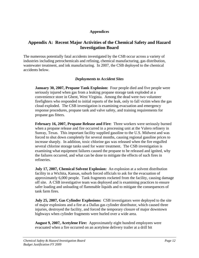#### **Appendices**

# <span id="page-13-0"></span>**Appendix A: Recent Major Activities of the Chemical Safety and Hazard Investigation Board**

The numerous potentially fatal accidents investigated by the CSB occur across a variety of industries including petrochemicals and refining, chemical manufacturing, gas distribution, wastewater treatment, and ink manufacturing. In 2007, the CSB deployed to the chemical accidents below.

#### *Deployments to Accident Sites*

**January 30, 2007, Propane Tank Explosion:** Four people died and five people were seriously injured when gas from a leaking propane storage tank exploded at a convenience store in Ghent, West Virginia. Among the dead were two volunteer firefighters who responded to initial reports of the leak, only to fall victim when the gas cloud exploded. The CSB investigation is examining evacuation and emergency response procedures, propane tank and valve safety, and training requirements for propane gas fitters.

**February 16, 2007, Propane Release and Fire:** Three workers were seriously burned when a propane release and fire occurred in a processing unit at the Valero refinery in Sunray, Texas. This important facility supplied gasoline to the U.S. Midwest and was forced to shut down completely for several months, causing regional gasoline prices to increase sharply. In addition, toxic chlorine gas was released when the fire engulfed several chlorine storage tanks used for water treatment. The CSB investigation is examining what equipment failures caused the propane to be released and ignited, why the failures occurred, and what can be done to mitigate the effects of such fires in refineries.

**July 17, 2007, Chemical Solvent Explosion:** An explosion at a solvent distribution facility in a Wichita, Kansas, suburb forced officials to ask for the evacuation of approximately 6,000 people. Tank fragments rocketed from the facility, causing damage off site. A CSB investigative team was deployed and is examining practices to ensure safer loading and unloading of flammable liquids and to mitigate the consequences of tank farm fires.

**July 25, 2007, Gas Cylinder Explosions:** CSB investigators were deployed to the site of major explosions and a fire at a Dallas gas cylinder distributor, which caused three injuries, destroyed the facility, and forced the temporary closure of major downtown highways when cylinder fragments were hurled over a wide area.

**August 9, 2007, Acetylene Fire:** Approximately eight hundred employees were evacuated when a fire occurred on an acetylene delivery trailer at a drill bit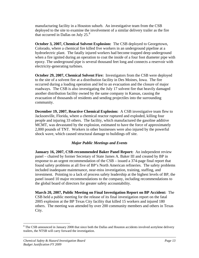<span id="page-14-0"></span>manufacturing facility in a Houston suburb. An investigative team from the CSB deployed to the site to examine the involvement of a similar delivery trailer as the fire that occurred in Dallas on July  $25.^8$  $25.^8$ 

**October 3, 2007, Chemical Solvent Explosion:** The CSB deployed to Georgetown, Colorado, where a chemical fire killed five workers in an underground pipeline at a hydroelectric plant. The fatally injured workers had become trapped deep underground when a fire ignited during an operation to coat the inside of a four foot diameter pipe with epoxy. The underground pipe is several thousand feet long and connects a reservoir with electricity-generating turbines.

**October 29, 2007, Chemical Solvent Fire:** Investigators from the CSB were deployed to the site of a solvent fire at a distribution facility in Des Moines, Iowa. The fire occurred during a loading operation and led to an evacuation and the closure of major roadways. The CSB is also investigating the July 17 solvent fire that heavily damaged another distribution facility owned by the same company in Kansas, causing the evacuation of thousands of residents and sending projectiles into the surrounding community.

**December 19, 2007, Reactive Chemical Explosion:** A CSB investigative team flew to Jacksonville, Florida, where a chemical reactor ruptured and exploded, killing four people and injuring 33 others. The facility, which manufactured the gasoline additive MCMT, was devastated by the explosion, estimated to have the force of approximately 2,000 pounds of TNT. Workers in other businesses were also injured by the powerful shock wave, which caused structural damage to buildings off site.

#### *Major Public Meetings and Events*

**January 16, 2007, CSB-recommended Baker Panel Report:** An independent review panel – chaired by former Secretary of State James A. Baker III and created by BP in response to an urgent recommendation of the CSB – issued a 374-page final report that found safety problems at all five of BP's North American refineries. The safety problems included inadequate maintenance, near-miss investigation, training, staffing, and investment. Pointing to a lack of process safety leadership at the highest levels of BP, the panel issued 10 major recommendations to the company, including recommendations to the global board of directors for greater safety accountability.

**March 20, 2007, Public Meeting on Final Investigation Report on BP Accident:** The CSB held a public meeting for the release of its final investigation report on the fatal 2005 explosion at the BP Texas City facility that killed 15 workers and injured 180 others. The meeting was attended by over 200 community members and others in Texas City.

<span id="page-14-1"></span> $\overline{a}$  $8$  The CSB announced in January 2008 that since both the Dallas and Houston accidents involved acetylene delivery trailers, the NTSB will carry forward the investigation.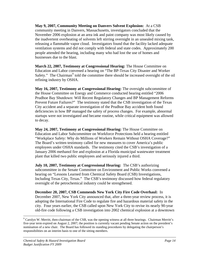**May 9, 2007, Community Meeting on Danvers Solvent Explosion:** At a CSB community meeting in Danvers, Massachusetts, investigators concluded that the November 2006 explosion at an area ink and paint company was most likely caused by the inadvertent overheating of solvents left stirring overnight in an unsealed mixing tank, releasing a flammable vapor cloud. Investigators found that the facility lacked adequate ventilation systems and did not comply with federal and state codes. Approximately 200 people attended the hearing, including many who had lost the use of homes and businesses due to the blast.

**March 22, 2007, Testimony at Congressional Hearing:** The House Committee on Education and Labor convened a hearing on "The BP-Texas City Disaster and Worker Safety." The Chairman<sup>[9](#page-15-0)</sup> told the committee there should be increased oversight of the oil refining industry by OSHA.

**May 16, 2007, Testimony at Congressional Hearing:** The oversight subcommittee of the House Committee on Energy and Commerce conducted hearing entitled "2006 Prudhoe Bay Shutdown: Will Recent Regulatory Changes and BP Management Reforms Prevent Future Failures?" The testimony stated that the CSB investigation of the Texas City accident and a separate investigation of the Prudhoe Bay accident both found deficiencies in how BP managed the safety of process changes. For example, abnormal startups were not investigated and became routine, while critical equipment was allowed to decay.

**May 24, 2007, Testimony at Congressional Hearing:** The House Committee on Education and Labor Subcommittee on Workforce Protections held a hearing entitled "Workplace Safety: Why do Millions of Workers Remain Without OSHA Coverage?" The Board's written testimony called for new measures to cover America's public employees under OSHA standards. The testimony cited the CSB's investigation of a January 2006 methanol fire and explosion at a Florida municipal wastewater treatment plant that killed two public employees and seriously injured a third.

**July 10, 2007, Testimony at Congressional Hearing:** The CSB's authorizing subcommittee in the Senate Committee on Environment and Public Works convened a hearing on "Lessons Learned from Chemical Safety Board (CSB) Investigations, Including Texas City, Texas." The CSB's testimony discussed how federal regulatory oversight of the petrochemical industry could be strengthened.

**December 20, 2007, CSB Commends New York City Fire Code Overhaul:** In December 2007, New York City announced that, after a three-year review process, it is adopting the International Fire Code to regulate fire and hazardous material safety in the city. Four years earlier, the CSB called upon New York City to revise its nearly 90-year old-fire code following a CSB investigation into 2002 chemical explosion at a downtown

 $\overline{a}$ 

<span id="page-15-0"></span> $9^9$  Carolyn W. Merritt, then-chairman of the CSB, was the opening witness at all three hearings. Chairman Merritt's five-year term expired on August 2, 2007; the position is currently vacant pending Senate action on the president's nomination of a new chair. The Board has followed its standing procedures by delegating the chairperson's responsibilities on an interim basis to one of the sitting members.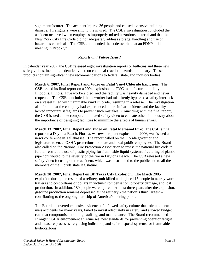<span id="page-16-0"></span>sign manufacturer. The accident injured 36 people and caused extensive building damage. Firefighters were among the injured. The CSB's investigation concluded the accident occurred when employees improperly mixed hazardous material and that the New York City Fire Code did not adequately address storage, handling and use of hazardous chemicals. The CSB commended the code overhaul at an FDNY public meeting in Brooklyn.

#### *Reports and Videos Issued*

In calendar year 2007, the CSB released eight investigation reports or bulletins and three new safety videos, including a detailed video on chemical reaction hazards in industry. These products contain significant new recommendations to federal, state, and industry bodies.

**March 6, 2007, Final Report and Video on Fatal Vinyl Chloride Explosion:** The CSB issued its final report on a 2004 explosion at a PVC manufacturing facility in Illiopolis, Illinois. Five workers died, and the facility was heavily damaged and never reopened. The CSB concluded that a worker had mistakenly bypassed a safety interlock on a vessel filled with flammable vinyl chloride, resulting in a release. The investigation also found that the company had experienced other similar incidents and the facility lacked important safeguards to prevent such mistakes. Coinciding with the final report, the CSB issued a new computer animated safety video to educate others in industry about the importance of designing facilities to minimize the effects of human errors.

**March 13, 2007, Final Report and Video on Fatal Methanol Fire:** The CSB's final report on a Daytona Beach, Florida, wastewater plant explosion in 2006, was issued at a news conference in Tallahassee. The report called on the Florida governor and legislature to enact OSHA protections for state and local public employees. The Board also called on the National Fire Protection Association to revise the national fire code to further restrict the use of plastic piping for flammable liquid systems; fracturing of plastic pipe contributed to the severity of the fire in Daytona Beach. The CSB released a new safety video focusing on the accident, which was distributed to the public and to all the members of the Florida state legislature.

**March 20, 2007, Final Report on BP Texas City Explosion:** The March 2005 explosion during the restart of a refinery unit killed and injured 15 people in nearby work trailers and cost billions of dollars in victims' compensation, property damage, and lost production. In addition, 180 people were injured. Almost three years after the explosion, gasoline production remains depressed at the refinery - the nation's third largest – contributing to the ongoing hardship of America's driving public.

The Board uncovered extensive evidence of a flawed safety culture that tolerated nearmiss accidents for many years, failed to invest adequately in safety, and allowed budget cuts that compromised training, staffing, and maintenance. The Board recommended stronger OSHA enforcement at refineries, new standards for preventing operator fatigue and measure process safety using indicators, and safer disposal systems for flammable hydrocarbons.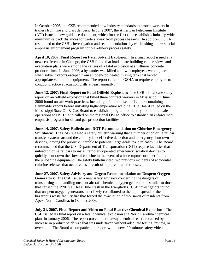In October 2005, the CSB recommended new industry standards to protect workers in trailers from fire and blast dangers. In June 2007, the American Petroleum Institute (API) issued a new guidance document, which for the first time establishes industry-wide minimum setback distances for trailers away from process hazards. In addition, OSHA responded to the CSB's investigation and recommendations by establishing a new special emphasis enforcement program for oil refinery process safety.

**April 10, 2007, Final Report on Fatal Solvent Explosion:** In a final report issued at a news conference in Chicago, the CSB found that inadequate building code reviews and evacuation plans were among the causes of a fatal explosion at an Illinois concrete products firm. In June 2006, a bystander was killed and two employees were injured when solvent vapors escaped from an open-top heated mixing tank that lacked appropriate ventilation equipment. The report called on OSHA to require employers to conduct practice evacuation drills at least annually.

**June 12, 2007, Final Report on Fatal Oilfield Explosion:** The CSB's final case study report on an oilfield explosion that killed three contract workers in Mississippi in June 2006 found unsafe work practices, including a failure to seal off a tank containing flammable vapors before initiating high-temperature welding. The Board called on the Mississippi State Oil & Gas Board to establish a program to identify and refer unsafe operations to OSHA and called on the regional OSHA office to establish an enforcement emphasis program for oil and gas production facilities.

**June 14, 2007, Safety Bulletin and DOT Recommendation on Chlorine Emergency Shutdown:** The CSB released a safety bulletin warning that a number of chlorine railcar transfer systems around the country lack effective detection and emergency shutdown devices, leaving the public vulnerable to potential large-scale toxic releases. The Board recommended that the U.S. Department of Transportation (DOT) require facilities that unload chlorine railcars to install remotely operated emergency isolation devices to quickly shut down the flow of chlorine in the event of a hose rupture or other failure in the unloading equipment. The safety bulletin cited two previous incidents of accidental chlorine releases that occurred as a result of ruptured transfer hoses.

**June 27, 2007, Safety Advisory and Urgent Recommendation on Unspent Oxygen Generators:** The CSB issued a new safety advisory concerning the dangers of transporting and handling unspent aircraft chemical oxygen generators – similar to those that caused the 1996 ValuJet airline crash in the Everglades. CSB investigators found that unspent oxygen generators most likely contributed to the rapid spread of the hazardous waste facility fire that forced the evacuation of thousands of residents from Apex, North Carolina, in October 2006.

**July 31, 2007, Final Report and Video on Fatal Reactive Chemical Explosion:** The CSB issued its final report on a fatal chemical explosion at a North Carolina chemical plant in January 2006. The report traced the runaway chemical reaction caused by an increase in product batch size that was undertaken without adequate testing, review, or oversight. The Board accompanied the report with a new, 20-minute safety video on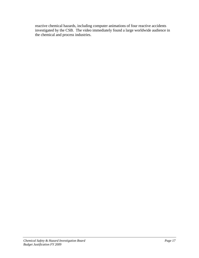reactive chemical hazards, including computer animations of four reactive accidents investigated by the CSB. The video immediately found a large worldwide audience in the chemical and process industries.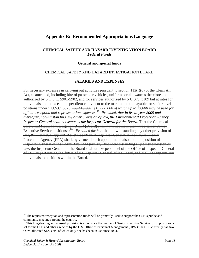# <span id="page-19-0"></span>**Appendix B: Recommended Appropriations Language**

#### **CHEMICAL SAFETY AND HAZARD INVESTIGATION BOARD**  *Federal Funds*

#### **General and special funds**

#### CHEMICAL SAFETY AND HAZARD INVESTIGATION BOARD

#### **SALARIES AND EXPENSES**

For necessary expenses in carrying out activities pursuant to section 112(r)(6) of the Clean Air Act, as amended, including hire of passenger vehicles, uniforms or allowances therefore, as authorized by 5 U.S.C. 5901-5902, and for services authorized by 5 U.S.C. 3109 but at rates for individuals not to exceed the per diem equivalent to the maximum rate payable for senior level positions under 5 U.S.C. 5376, [\$9,410,000] *\$10,600,000 of which up to \$3,000 may be used for official reception and representation expenses*: [10](#page-19-1): *Provided, that in fiscal year 2009 and thereafter, notwithstanding any other provision of law, the Environmental Protection Agency Inspector General shall not serve as the Inspector General for the Board.* That the Chemical Safety and Hazard Investigation Board (Board) shall have not more than three career Senior Executive Service positions: :<sup>[11](#page-19-2)</sup> – *Provided further*, that notwithstanding any other provision of law, the individual appointed to the position of Inspector General of the Environmental Protection Agency (EPA) shall, by virtue of such appointment, also hold the position of Inspector General of the Board: *Provided further,* That notwithstanding any other provision of law, the Inspector General of the Board shall utilize personnel of the Office of Inspector General of EPA in performing the duties of the Inspector General of the Board, and shall not appoint any individuals to positions within the Board.

 $\overline{a}$ 

<span id="page-19-1"></span> $10$  The requested reception and representation funds will be primarily used to support the CSB's public and community meetings around the country.

<span id="page-19-2"></span> $11$  This longstanding and unusual provision is moot since the number of Senior Executive Service (SES) positions is set for the CSB and other agencies by the U.S. Office of Personnel Management (OPM); the CSB currently has two OPM-allocated SES slots, of which only one has been in use since 2004.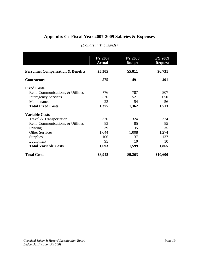# <span id="page-20-0"></span>**Appendix C: Fiscal Year 2007-2009 Salaries & Expenses**

|                                              | <b>FY 2007</b><br><b>Actual</b> | <b>FY 2008</b><br><b>Budget</b> | <b>FY 2009</b><br><b>Request</b> |
|----------------------------------------------|---------------------------------|---------------------------------|----------------------------------|
| <b>Personnel Compensation &amp; Benefits</b> | \$5,305                         | \$5,811                         | \$6,731                          |
| <b>Contractors</b>                           | 575                             | 491                             | 491                              |
| <b>Fixed Costs</b>                           |                                 |                                 |                                  |
| Rent, Communications, & Utilities            | 776                             | 787                             | 807                              |
| <b>Interagency Services</b>                  | 576                             | 521                             | 650                              |
| Maintenance                                  | 23                              | 54                              | 56                               |
| <b>Total Fixed Costs</b>                     | 1,375                           | 1,362                           | 1,513                            |
| <b>Variable Costs</b>                        |                                 |                                 |                                  |
| Travel & Transportation                      | 326                             | 324                             | 324                              |
| Rent, Communications, & Utilities            | 83                              | 85                              | 85                               |
| Printing                                     | 39                              | 35                              | 35                               |
| <b>Other Services</b>                        | 1,044                           | 1,008                           | 1,274                            |
| <b>Supplies</b>                              | 106                             | 137                             | 137                              |
| Equipment                                    | 95                              | 10                              | 10                               |
| <b>Total Variable Costs</b>                  | 1,693                           | 1,599                           | 1,865                            |
| <b>Total Costs</b>                           | \$8,948                         | \$9,263                         | \$10,600                         |

#### *(Dollars in Thousands)*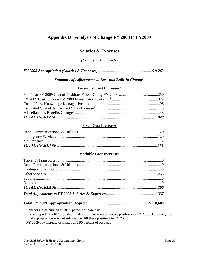# <span id="page-21-0"></span>**Appendix D: Analysis of Change FY 2008 to FY2009**

## **Salaries & Expenses**

*(Dollars in Thousands)* 

#### *Summary of Adjustments to Base and Built-In Changes*

#### **Personnel Cost Increases**<sup>1</sup>

#### **Fixed Cost Increases**

#### **Variable Cost Increases**

## **Total FY 2009 Appropriation Request ..............................................................\$ 10,600**

<sup>1</sup> Benefits are calculated at 28.39 percent of base pay.<br><sup>2</sup> House Report 110-187 provided funding for 3 new investigative positions in FY 2008. However, the final appropriation was not sufficient to fill these positions

 $\frac{3}{1}$  FY 2009 pay increase estimated at 2.90 percent of base pay.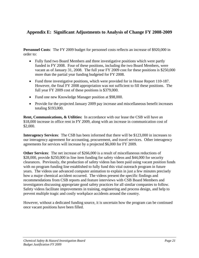# <span id="page-22-0"></span>**Appendix E: Significant Adjustments to Analysis of Change FY 2008-2009**

**Personnel Costs**: The FY 2009 budget for personnel costs reflects an increase of \$920,000 in order to:

- Fully fund two Board Members and three investigative positions which were partly funded in FY 2008. Four of these positions, including the two Board Members, were vacant as of January 31, 2008. The full year FY 2009 cost for these positions is \$250,000 more than the partial year funding budgeted for FY 2008.
- Fund three investigative positions, which were provided for in House Report 110-187. However, the final FY 2008 appropriation was not sufficient to fill these positions. The full year FY 2009 cost of these positions is \$379,000.
- Fund one new Knowledge Manager position at \$98,000.
- Provide for the projected January 2009 pay increase and miscellaneous benefit increases totaling \$193,000.

**Rent, Communications, & Utilities:** In accordance with our lease the CSB will have an \$18,000 increase in office rent in FY 2009, along with an increase in communication cost of \$2,000.

**Interagency Services**: The CSB has been informed that there will be \$123,000 in increases to our interagency agreement for accounting, procurement, and travel services. Other interagency agreements for services will increase by a projected \$6,000 for FY 2009.

**Other Services**: The net increase of \$266,000 is a result of miscellaneous reductions of \$28,000, provide \$250,000 in line item funding for safety videos and \$44,000 for security clearances. Previously, the production of safety videos has been paid using vacant position funds with no program funding line established to fully fund this vital outreach program in future years. The videos use advanced computer animation to explain in just a few minutes precisely how a major chemical accident occurred. The videos present the specific findings and recommendations from CSB reports and feature interviews with CSB Board Members and investigators discussing appropriate good safety practices for all similar companies to follow. Safety videos facilitate improvements in training, engineering and process design, and help to prevent multiple tragic and costly workplace accidents around the country.

However, without a dedicated funding source, it is uncertain how the program can be continued once vacant positions have been filled.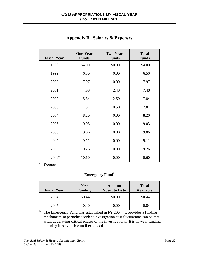<span id="page-23-0"></span>

| <b>Fiscal Year</b>                       | <b>One-Year</b><br><b>Funds</b> | <b>Two-Year</b><br><b>Funds</b> | <b>Total</b><br><b>Funds</b> |
|------------------------------------------|---------------------------------|---------------------------------|------------------------------|
| 1998                                     | \$4.00                          | \$0.00                          | \$4.00                       |
| 1999                                     | 6.50                            | 0.00                            | 6.50                         |
| 2000                                     | 7.97                            | 0.00                            | 7.97                         |
| 2001                                     | 4.99                            | 2.49                            | 7.48                         |
| 2002                                     | 5.34                            | 2.50                            | 7.84                         |
| 2003                                     | 7.31                            | 0.50                            | 7.81                         |
| 2004                                     | 8.20                            | 0.00                            | 8.20                         |
| 2005                                     | 9.03                            | 0.00                            | 9.03                         |
| 2006                                     | 9.06                            | 0.00                            | 9.06                         |
| 2007                                     | 9.11                            | 0.00                            | 9.11                         |
| 2008                                     | 9.26                            | 0.00                            | 9.26                         |
| 2009 <sup>a</sup><br>$\rm{a}$<br>Request | 10.60                           | 0.00                            | 10.60                        |

# **Appendix F: Salaries & Expenses**

Request

b

## **Emergency Fund**<sup>b</sup>

| <b>Fiscal Year</b> | <b>New</b><br><b>Funding</b> | Amount<br><b>Spent to Date</b> | <b>Total</b><br><b>Available</b> |
|--------------------|------------------------------|--------------------------------|----------------------------------|
| 2004               | \$0.44                       | \$0.00                         | \$0.44                           |
| 2005               | 0.40                         | 0.00                           | 0.84                             |

 The Emergency Fund was established in FY 2004. It provides a funding mechanism so periodic accident investigation cost fluctuations can be met without delaying critical phases of the investigations. It is no-year funding, meaning it is available until expended.